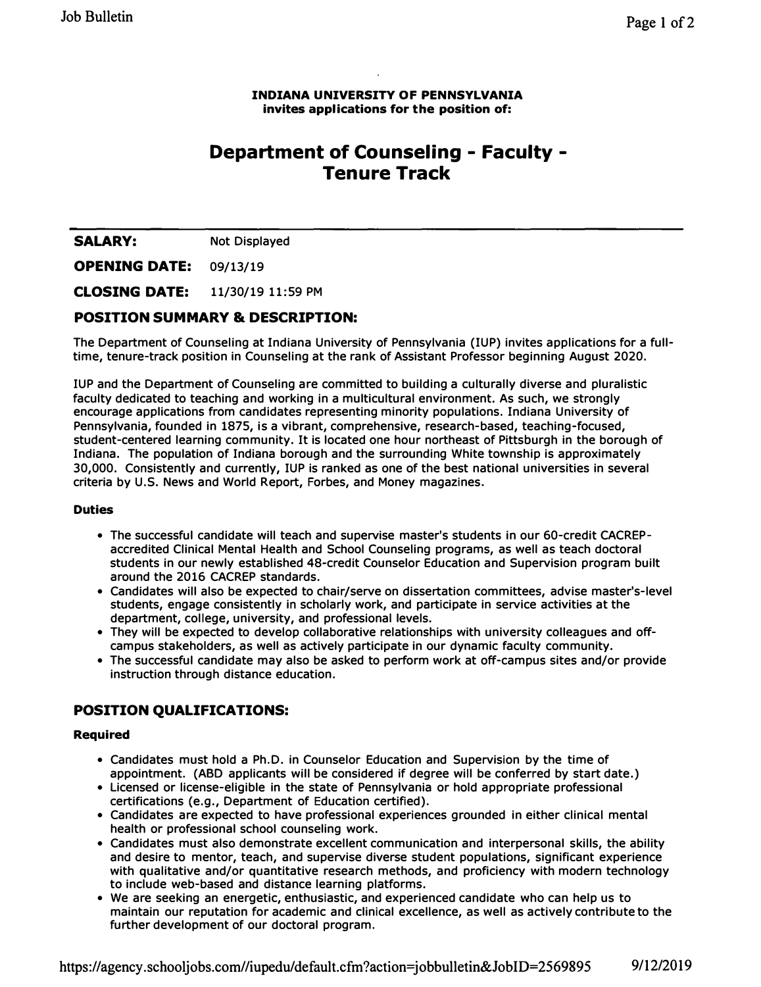### **INDIANA UNIVERSITY OF PENNSYLVANIA invites applications for the position of:**

# **Department of Counseling - Faculty - Tenure Track**

**SALARY:** Not Displayed

**OPENING DATE: 09/13/19** 

**CLOSING DATE: 11/30/19 11:59 PM** 

### **POSITION SUMMARY & DESCRIPTION:**

**The Department of Counseling at Indiana University of Pennsylvania (IUP) invites applications for a fulltime, tenure-track position in Counseling at the rank of Assistant Professor beginning August 2020.** 

**IUP and the Department of Counseling are committed to building a culturally diverse and pluralistic faculty dedicated to teaching and working in a multicultural environment. As such, we strongly encourage applications from candidates representing minority populations. Indiana University of Pennsylvania, founded in 1875, is a vibrant, comprehensive, research-based, teaching-focused, student-centered learning community. It is located one hour northeast of Pittsburgh in the borough of Indiana. The population of Indiana borough and the surrounding White township is approximately 30,000. Consistently and currently, IUP is ranked as one of the best national universities in several criteria by U.S. News and World Report, Forbes, and Money magazines.** 

### **Duties**

- **• The successful candidate will teach and supervise master's students in our 60-credit CACREPaccredited Clinical Mental Health and School Counseling programs, as well as teach doctoral students in our newly established 48-credit Counselor Education and Supervision program built around the 2016 CACREP standards.**
- **• Candidates will also be expected to chair/serve on dissertation committees, advise master's-level students, engage consistently in scholarly work, and participate in service activities at the department, college, university, and professional levels.**
- **• They will be expected to develop collaborative relationships with university colleagues and offcampus stakeholders, as well as actively participate in our dynamic faculty community.**
- **• The successful candidate may also be asked to perform work at off-campus sites and/or provide instruction through distance education.**

# **POSITION QUALIFICATIONS:**

### **Required**

- **• Candidates must hold a Ph.D. in Counselor Education and Supervision by the time of appointment. (ABO applicants will be considered if degree will be conferred by start date.)**
- **• Licensed or license-eligible in the state of Pennsylvania or hold appropriate professional certifications (e.g., Department of Education certified).**
- **• Candidates are expected to have professional experiences grounded in either clinical mental health or professional school counseling work.**
- **• Candidates must also demonstrate excellent communication and interpersonal skills, the ability and desire to mentor, teach, and supervise diverse student populations, significant experience with qualitative and/or quantitative research methods, and proficiency with modern technology to include web-based and distance learning platforms.**
- **• We are seeking an energetic, enthusiastic, and experienced candidate who can help us to maintain our reputation for academic and clinical excellence, as well as actively contribute to the further development of our doctoral program.**